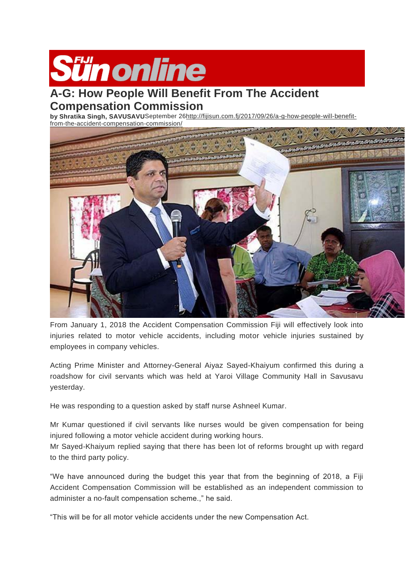

## **A-G: How People Will Benefit From The Accident Compensation Commission**

**by Shratika Singh, SAVUSAVU**September 2[6http://fijisun.com.fj/2017/09/26/a-g-how-people-will-benefit](http://fijisun.com.fj/2017/09/26/a-g-how-people-will-benefit-from-the-accident-compensation-commission/)[from-the-accident-compensation-commission/](http://fijisun.com.fj/2017/09/26/a-g-how-people-will-benefit-from-the-accident-compensation-commission/)



From January 1, 2018 the Accident Compensation Commission Fiji will effectively look into injuries related to motor vehicle accidents, including motor vehicle injuries sustained by employees in company vehicles.

Acting Prime Minister and Attorney-General Aiyaz Sayed-Khaiyum confirmed this during a roadshow for civil servants which was held at Yaroi Village Community Hall in Savusavu yesterday.

He was responding to a question asked by staff nurse Ashneel Kumar.

Mr Kumar questioned if civil servants like nurses would be given compensation for being injured following a motor vehicle accident during working hours.

Mr Sayed-Khaiyum replied saying that there has been lot of reforms brought up with regard to the third party policy.

"We have announced during the budget this year that from the beginning of 2018, a Fiji Accident Compensation Commission will be established as an independent commission to administer a no-fault compensation scheme.," he said.

"This will be for all motor vehicle accidents under the new Compensation Act.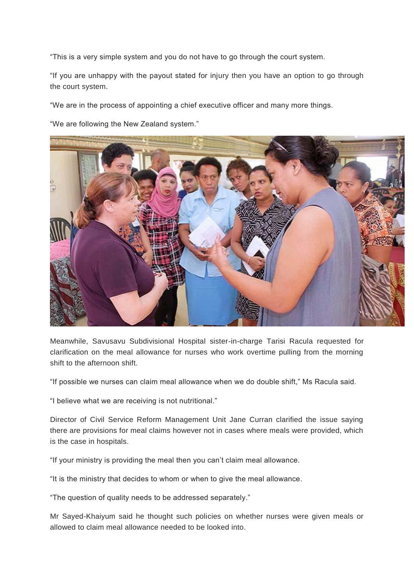"This is a very simple system and you do not have to go through the court system.

"If you are unhappy with the payout stated for injury then you have an option to go through the court system.

"We are in the process of appointing a chief executive officer and many more things.

"We are following the New Zealand system."



Meanwhile, Savusavu Subdivisional Hospital sister-in-charge Tarisi Racula requested for clarification on the meal allowance for nurses who work overtime pulling from the morning shift to the afternoon shift.

"If possible we nurses can claim meal allowance when we do double shift," Ms Racula said.

"I believe what we are receiving is not nutritional."

Director of Civil Service Reform Management Unit Jane Curran clarified the issue saying there are provisions for meal claims however not in cases where meals were provided, which is the case in hospitals.

"If your ministry is providing the meal then you can't claim meal allowance.

"It is the ministry that decides to whom or when to give the meal allowance.

"The question of quality needs to be addressed separately."

Mr Sayed-Khaiyum said he thought such policies on whether nurses were given meals or allowed to claim meal allowance needed to be looked into.